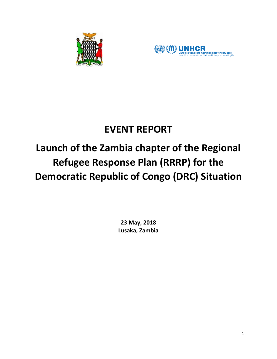



## **EVENT REPORT**

# **Launch of the Zambia chapter of the Regional Refugee Response Plan (RRRP) for the Democratic Republic of Congo (DRC) Situation**

**23 May, 2018 Lusaka, Zambia**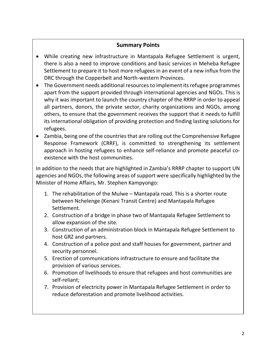## **Summary Points**

- While creating new infrastructure in Mantapala Refugee Settlement is urgent, there is also a need to improve conditions and basic services in Meheba Refugee Settlement to prepare it to host more refugees in an event of a new influx from the DRC through the Copperbelt and North-western Provinces.
- The Government needs additional resources to implement its refugee programmes apart from the support provided through international agencies and NGOs. This is why it was important to launch the country chapter of the RRRP in order to appeal all partners, donors, the private sector, charity organizations and NGOs, among others, to ensure that the government receives the support that it needs to fulfill its international obligation of providing protection and finding lasting solutions for refugees.
- Zambia, being one of the countries that are rolling out the Comprehensive Refugee Response Framework (CRRF), is committed to strengthening its settlement approach in hosting refugees to enhance self-reliance and promote peaceful coexistence with the host communities.

In addition to the needs that are highlighted in Zambia's RRRP chapter to support UN agencies and NGOs, the following areas of support were specifically highlighted by the Minister of Home Affairs, Mr. Stephen Kampyongo:

- 1. The rehabilitation of the Mulwe Mantapala road. This is a shorter route between Nchelenge (Kenani Transit Centre) and Mantapala Refugee Settlement.
- 2. Construction of a bridge in phase two of Mantapala Refugee Settlement to allow expansion of the site.
- 3. Construction of an administration block in Mantapala Refugee Settlement to host GRZ and partners.
- 4. Construction of a police post and staff houses for government, partner and security personnel.
- 5. Erection of communications infrastructure to ensure and facilitate the provision of various services.
- 6. Promotion of livelihoods to ensure that refugees and host communities are self-reliant;
- 7. Provision of electricity power in Mantapala Refugee Settlement in order to reduce deforestation and promote livelihood activities.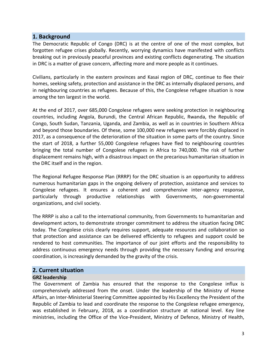#### **1. Background**

The Democratic Republic of Congo (DRC) is at the centre of one of the most complex, but forgotten refugee crises globally. Recently, worrying dynamics have manifested with conflicts breaking out in previously peaceful provinces and existing conflicts degenerating. The situation in DRC is a matter of grave concern, affecting more and more people as it continues.

Civilians, particularly in the eastern provinces and Kasai region of DRC, continue to flee their homes, seeking safety, protection and assistance in the DRC as internally displaced persons, and in neighbouring countries as refugees. Because of this, the Congolese refugee situation is now among the ten largest in the world.

At the end of 2017, over 685,000 Congolese refugees were seeking protection in neighbouring countries, including Angola, Burundi, the Central African Republic, Rwanda, the Republic of Congo, South Sudan, Tanzania, Uganda, and Zambia, as well as in countries in Southern Africa and beyond those boundaries. Of these, some 100,000 new refugees were forcibly displaced in 2017, as a consequence of the deterioration of the situation in some parts of the country. Since the start of 2018, a further 55,000 Congolese refugees have fled to neighbouring countries bringing the total number of Congolese refugees in Africa to 740,000. The risk of further displacement remains high, with a disastrous impact on the precarious humanitarian situation in the DRC itself and in the region.

The Regional Refugee Response Plan (RRRP) for the DRC situation is an opportunity to address numerous humanitarian gaps in the ongoing delivery of protection, assistance and services to Congolese refugees. It ensures a coherent and comprehensive inter-agency response, particularly through productive relationships with Governments, non-governmental organizations, and civil society.

The RRRP is also a call to the international community, from Governments to humanitarian and development actors, to demonstrate stronger commitment to address the situation facing DRC today. The Congolese crisis clearly requires support, adequate resources and collaboration so that protection and assistance can be delivered efficiently to refugees and support could be rendered to host communities. The importance of our joint efforts and the responsibility to address continuous emergency needs through providing the necessary funding and ensuring coordination, is increasingly demanded by the gravity of the crisis.

#### **2. Current situation**

#### **GRZ leadership**

The Government of Zambia has ensured that the response to the Congolese influx is comprehensively addressed from the onset. Under the leadership of the Ministry of Home Affairs, an Inter-Ministerial Steering Committee appointed by His Excellency the President of the Republic of Zambia to lead and coordinate the response to the Congolese refugee emergency, was established in February, 2018, as a coordination structure at national level. Key line ministries, including the Office of the Vice-President, Ministry of Defence, Ministry of Health,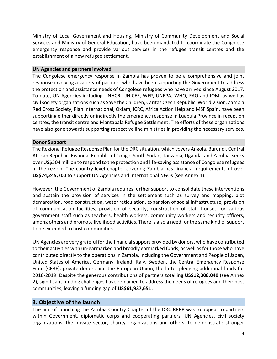Ministry of Local Government and Housing, Ministry of Community Development and Social Services and Ministry of General Education, have been mandated to coordinate the Congolese emergency response and provide various services in the refugee transit centres and the establishment of a new refugee settlement.

#### **UN Agencies and partners involved**

The Congolese emergency response in Zambia has proven to be a comprehensive and joint response involving a variety of partners who have been supporting the Government to address the protection and assistance needs of Congolese refugees who have arrived since August 2017. To date, UN Agencies including UNHCR, UNICEF, WFP, UNFPA, WHO, FAO and IOM, as well as civil society organizations such as Save the Children, Caritas Czech Republic, World Vision, Zambia Red Cross Society, Plan International, Oxfam, ICRC, Africa Action Help and MSF Spain, have been supporting either directly or indirectly the emergency response in Luapula Province in reception centres, the transit centre and Mantapala Refugee Settlement. The efforts of these organizations have also gone towards supporting respective line ministries in providing the necessary services.

#### **Donor Support**

The Regional Refugee Response Plan for the DRC situation, which covers Angola, Burundi, Central African Republic, Rwanda, Republic of Congo, South Sudan, Tanzania, Uganda, and Zambia, seeks over US\$504 million to respond to the protection and life-saving assistance of Congolese refugees in the region. The country-level chapter covering Zambia has financial requirements of over **US\$74,245,700** to support UN Agencies and International NGOs (see Annex 1).

However, the Government of Zambia requires further support to consolidate these interventions and sustain the provision of services in the settlement such as survey and mapping, plot demarcation, road construction, water reticulation, expansion of social infrastructure, provision of communication facilities, provision of security, construction of staff houses for various government staff such as teachers, health workers, community workers and security officers, among others and promote livelihood activities. There is also a need for the same kind of support to be extended to host communities.

UN Agencies are very grateful for the financial support provided by donors, who have contributed to their activities with un-earmarked and broadly earmarked funds, as well as for those who have contributed directly to the operations in Zambia, including the Government and People of Japan, United States of America, Germany, Ireland, Italy, Sweden, the Central Emergency Response Fund (CERF), private donors and the European Union, the latter pledging additional funds for 2018-2019. Despite the generous contributions of partners totalling **US\$12,308,049** (see Annex 2), significant funding challenges have remained to address the needs of refugees and their host communities, leaving a funding gap of **US\$61,937,651.**

#### **3. Objective of the launch**

The aim of launching the Zambia Country Chapter of the DRC RRRP was to appeal to partners within Government, diplomatic corps and cooperating partners, UN Agencies, civil society organizations, the private sector, charity organizations and others, to demonstrate stronger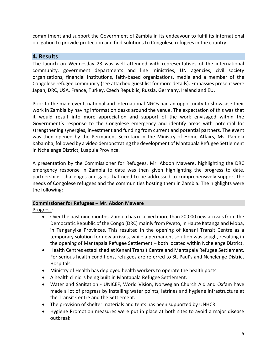commitment and support the Government of Zambia in its endeavour to fulfil its international obligation to provide protection and find solutions to Congolese refugees in the country.

## **4. Results**

The launch on Wednesday 23 was well attended with representatives of the international community, government departments and line ministries, UN agencies, civil society organizations, financial institutions, faith-based organizations, media and a member of the Congolese refugee community (see attached guest list for more details). Embassies present were Japan, DRC, USA, France, Turkey, Czech Republic, Russia, Germany, Ireland and EU.

Prior to the main event, national and international NGOs had an opportunity to showcase their work in Zambia by having information desks around the venue. The expectation of this was that it would result into more appreciation and support of the work envisaged within the Government's response to the Congolese emergency and identify areas with potential for strengthening synergies, investment and funding from current and potential partners. The event was then opened by the Permanent Secretary in the Ministry of Home Affairs, Ms. Pamela Kabamba, followed by a video demonstrating the development of Mantapala Refugee Settlement in Nchelenge District, Luapula Province.

A presentation by the Commissioner for Refugees, Mr. Abdon Mawere, highlighting the DRC emergency response in Zambia to date was then given highlighting the progress to date, partnerships, challenges and gaps that need to be addressed to comprehensively support the needs of Congolese refugees and the communities hosting them in Zambia. The highlights were the following:

#### **Commissioner for Refugees – Mr. Abdon Mawere**

Progress:

- Over the past nine months, Zambia has received more than 20,000 new arrivals from the Democratic Republic of the Congo (DRC) mainly from Pweto, in Haute Katanga and Moba, in Tanganyika Provinces. This resulted in the opening of Kenani Transit Centre as a temporary solution for new arrivals, while a permanent solution was sough, resulting in the opening of Mantapala Refugee Settlement – both located within Nchelenge District.
- Health Centres established at Kenani Transit Centre and Mantapala Refugee Settlement. For serious health conditions, refugees are referred to St. Paul's and Nchelenge District Hospitals.
- Ministry of Health has deployed health workers to operate the health posts.
- A health clinic is being built in Mantapala Refugee Settlement.
- Water and Sanitation UNICEF, World Vision, Norwegian Church Aid and Oxfam have made a lot of progress by installing water points, latrines and hygiene infrastructure at the Transit Centre and the Settlement.
- The provision of shelter materials and tents has been supported by UNHCR.
- Hygiene Promotion measures were put in place at both sites to avoid a major disease outbreak.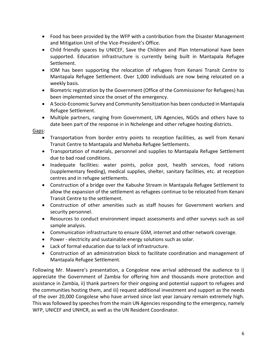- Food has been provided by the WFP with a contribution from the Disaster Management and Mitigation Unit of the Vice-President's Office.
- Child friendly spaces by UNICEF, Save the Children and Plan International have been supported. Education infrastructure is currently being built in Mantapala Refugee Settlement.
- IOM has been supporting the relocation of refugees from Kenani Transit Centre to Mantapala Refugee Settlement. Over 1,000 individuals are now being relocated on a weekly basis.
- Biometric registration by the Government (Office of the Commissioner for Refugees) has been implemented since the onset of the emergency.
- A Socio-Economic Survey and Community Sensitization has been conducted in Mantapala Refugee Settlement.
- Multiple partners, ranging from Government, UN Agencies, NGOs and others have to date been part of the response in in Nchelenge and other refugee hosting districts.

Gaps:

- Transportation from border entry points to reception facilities, as well from Kenani Transit Centre to Mantapala and Meheba Refugee Settlements.
- Transportation of materials, personnel and supplies to Mantapala Refugee Settlement due to bad road conditions.
- Inadequate facilities: water points, police post, health services, food rations (supplementary feeding), medical supplies, shelter, sanitary facilities, etc. at reception centres and in refugee settlements.
- Construction of a bridge over the Kabushe Stream in Mantapala Refugee Settlement to allow the expansion of the settlement as refugees continue to be relocated from Kenani Transit Centre to the settlement.
- Construction of other amenities such as staff houses for Government workers and security personnel.
- Resources to conduct environment impact assessments and other surveys such as soil sample analysis.
- Communication infrastructure to ensure GSM, internet and other network coverage.
- Power electricity and sustainable energy solutions such as solar.
- Lack of formal education due to lack of infrastructure.
- Construction of an administration block to facilitate coordination and management of Mantapala Refugee Settlement.

Following Mr. Mawere's presentation, a Congolese new arrival addressed the audience to i) appreciate the Government of Zambia for offering him and thousands more protection and assistance in Zambia, ii) thank partners for their ongoing and potential support to refugees and the communities hosting them, and iii) request additional investment and support as the needs of the over 20,000 Congolese who have arrived since last year January remain extremely high. This was followed by speeches from the main UN Agencies responding to the emergency, namely WFP, UNICEF and UNHCR, as well as the UN Resident Coordinator.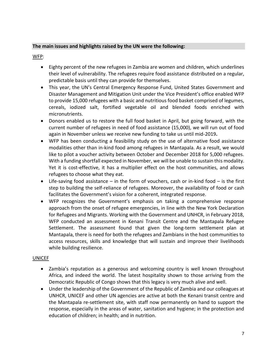#### **The main issues and highlights raised by the UN were the following:**

WFP:

- Eighty percent of the new refugees in Zambia are women and children, which underlines their level of vulnerability. The refugees require food assistance distributed on a regular, predictable basis until they can provide for themselves.
- This year, the UN's Central Emergency Response Fund, United States Government and Disaster Management and Mitigation Unit under the Vice President's office enabled WFP to provide 15,000 refugees with a basic and nutritious food basket comprised of legumes, cereals, iodized salt, fortified vegetable oil and blended foods enriched with micronutrients.
- Donors enabled us to restore the full food basket in April, but going forward, with the current number of refugees in need of food assistance (15,000), we will run out of food again in November unless we receive new funding to take us until mid-2019**.**
- WFP has been conducting a feasibility study on the use of alternative food assistance modalities other than in-kind food among refugees in Mantapala. As a result, we would like to pilot a voucher activity between October and December 2018 for 5,000 refugees. With a funding shortfall expected in November, we will be unable to sustain this modality. Yet it is cost-effective, it has a multiplier effect on the host communities, and allows refugees to choose what they eat.
- $\bullet$  Life-saving food assistance in the form of vouchers, cash or in-kind food is the first step to building the self-reliance of refugees. Moreover, the availability of food or cash facilitates the Government's vision for a coherent, integrated response.
- WFP recognizes the Government's emphasis on taking a comprehensive response approach from the onset of refugee emergencies, in line with the New York Declaration for Refugees and Migrants. Working with the Government and UNHCR, in February 2018, WFP conducted an assessment in Kenani Transit Centre and the Mantapala Refugee Settlement. The assessment found that given the long-term settlement plan at Mantapala, there is need for both the refugees and Zambians in the host communities to access resources, skills and knowledge that will sustain and improve their livelihoods while building resilience.

#### UNICEF

- Zambia's reputation as a generous and welcoming country is well known throughout Africa, and indeed the world. The latest hospitality shown to those arriving from the Democratic Republic of Congo shows that this legacy is very much alive and well.
- Under the leadership of the Government of the Republic of Zambia and our colleagues at UNHCR, UNICEF and other UN agencies are active at both the Kenani transit centre and the Mantapala re-settlement site, with staff now permanently on hand to support the response, especially in the areas of water, sanitation and hygiene; in the protection and education of children; in health; and in nutrition.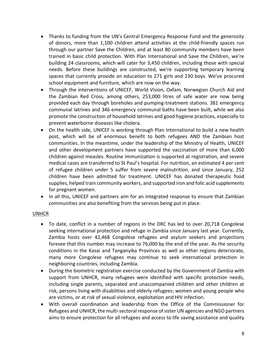- Thanks to funding from the UN's Central Emergency Response Fund and the generosity of donors, more than 1,100 children attend activities at the child-friendly spaces run through our partner Save the Children, and at least 80 community members have been trained in basic child protection. With Plan International and Save the Children, we're building 24 classrooms, which will cater for 3,450 children, including those with special needs. Before these buildings are constructed, we're supporting temporary learning spaces that currently provide an education to 271 girls and 230 boys. We've procured school equipment and furniture, which are now on the way.
- Through the interventions of UNICEF, World Vision, Oxfam, Norwegian Church Aid and the Zambian Red Cross, among others, 253,000 litres of safe water are now being provided each day through boreholes and pumping-treatment stations. 381 emergency communal latrines and 346 emergency communal baths have been built, while we also promote the construction of household latrines and good hygiene practices, especially to prevent waterborne diseases like cholera.
- On the health side, UNICEF is working through Plan International to build a new health post, which will be of enormous benefit to both refugees AND the Zambian host communities. In the meantime, under the leadership of the Ministry of Health, UNICEF and other development partners have supported the vaccination of more than 6,000 children against measles. Routine immunization is supported at registration, and severe medical cases are transferred to St Paul's hospital. For nutrition, an estimated 4 per cent of refugee children under 5 suffer from severe malnutrition, and since January, 252 children have been admitted for treatment. UNICEF has donated therapeutic food supplies, helped train community workers, and supported iron and folic acid supplements for pregnant women.
- In all this, UNICEF and partners aim for an integrated response to ensure that Zambian communities are also benefiting from the services being put in place.

#### UNHCR

- To date, conflict in a number of regions in the DRC has led to over 20,718 Congolese seeking international protection and refuge in Zambia since January last year. Currently, Zambia hosts over 42,468 Congolese refugees and asylum seekers and projections foresee that this number may increase to 76,000 by the end of the year. As the security conditions in the Kasai and Tanganyika Provinces as well as other regions deteriorate, many more Congolese refugees may continue to seek international protection in neighboring countries, including Zambia.
- During the biometric registration exercise conducted by the Government of Zambia with support from UNHCR, many refugees were identified with specific protection needs, including single parents, separated and unaccompanied children and other children at risk, persons living with disabilities and elderly refugees; women and young people who are victims, or at risk of sexual violence, exploitation and HIV infection.
- With overall coordination and leadership from the Office of the Commissioner for Refugees and UNHCR, the multi-sectoral response of sister UN agencies and NGO partners aims to ensure protection for all refugees and access to life saving assistance and quality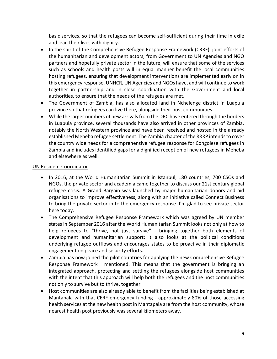basic services, so that the refugees can become self-sufficient during their time in exile and lead their lives with dignity.

- In the spirit of the Comprehensive Refugee Response Framework (CRRF), joint efforts of the humanitarian and development actors, from Government to UN Agencies and NGO partners and hopefully private sector in the future, will ensure that some of the services such as schools and health posts will in equal manner benefit the local communities hosting refugees, ensuring that development interventions are implemented early on in this emergency response. UNHCR, UN Agencies and NGOs have, and will continue to work together in partnership and in close coordination with the Government and local authorities, to ensure that the needs of the refugees are met.
- The Government of Zambia, has also allocated land in Nchelenge district in Luapula province so that refugees can live there, alongside their host communities.
- While the larger numbers of new arrivals from the DRC have entered through the borders in Luapula province, several thousands have also arrived in other provinces of Zambia, notably the North Western province and have been received and hosted in the already established Meheba refugee settlement. The Zambia chapter of the RRRP intends to cover the country wide needs for a comprehensive refugee response for Congolese refugees in Zambia and includes identified gaps for a dignified reception of new refugees in Meheba and elsewhere as well.

#### UN Resident Coordinator

- In 2016, at the World Humanitarian Summit in Istanbul, 180 countries, 700 CSOs and NGOs, the private sector and academia came together to discuss our 21st century global refugee crisis. A Grand Bargain was launched by major humanitarian donors and aid organisations to improve effectiveness, along with an initiative called Connect Business to bring the private sector in to the emergency response. I'm glad to see private sector here today.
- The Comprehensive Refugee Response Framework which was agreed by UN member states in September 2016 after the World Humanitarian Summit looks not only at how to help refugees to "thrive, not just survive" - bringing together both elements of development and humanitarian support; it also looks at the political conditions underlying refugee outflows and encourages states to be proactive in their diplomatic engagement on peace and security efforts.
- Zambia has now joined the pilot countries for applying the new Comprehensive Refugee Response Framework I mentioned. This means that the government is bringing an integrated approach, protecting and settling the refugees alongside host communities with the intent that this approach will help both the refugees and the host communities not only to survive but to thrive, together.
- Host communities are also already able to benefit from the facilities being established at Mantapala with that CERF emergency funding - approximately 80% of those accessing health services at the new health post in Mantapala are from the host community, whose nearest health post previously was several kilometers away.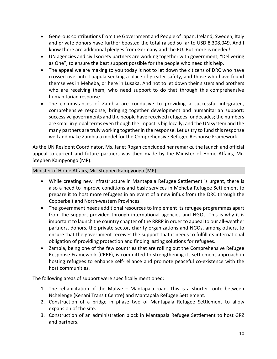- Generous contributions from the Government and People of Japan, Ireland, Sweden, Italy and private donors have further boosted the total raised so far to USD 8,308,049. And I know there are additional pledges from Germany and the EU. But more is needed!
- UN agencies and civil society partners are working together with government, "Delivering as One", to ensure the best support possible for the people who need this help.
- The appeal we are making to you today is not to let down the citizens of DRC who have crossed over into Luapula seeking a place of greater safety, and those who have found themselves in Meheba, or here in Lusaka. And not to let down their sisters and brothers who are receiving them, who need support to do that through this comprehensive humanitarian response.
- The circumstances of Zambia are conducive to providing a successful integrated, comprehensive response, bringing together development and humanitarian support: successive governments and the people have received refugees for decades; the numbers are small in global terms even though the impact is big locally; and the UN system and the many partners are truly working together in the response. Let us try to fund this response well and make Zambia a model for the Comprehensive Refugee Response Framework.

As the UN Resident Coordinator, Ms. Janet Rogan concluded her remarks, the launch and official appeal to current and future partners was then made by the Minister of Home Affairs, Mr. Stephen Kampyongo (MP).

#### Minister of Home Affairs, Mr. Stephen Kampyongo (MP)

- While creating new infrastructure in Mantapala Refugee Settlement is urgent, there is also a need to improve conditions and basic services in Meheba Refugee Settlement to prepare it to host more refugees in an event of a new influx from the DRC through the Copperbelt and North-western Provinces.
- The government needs additional resources to implement its refugee programmes apart from the support provided through international agencies and NGOs. This is why it is important to launch the country chapter of the RRRP in order to appeal to our all-weather partners, donors, the private sector, charity organizations and NGOs, among others, to ensure that the government receives the support that it needs to fulfill its international obligation of providing protection and finding lasting solutions for refugees.
- Zambia, being one of the few countries that are rolling out the Comprehensive Refugee Response Framework (CRRF), is committed to strengthening its settlement approach in hosting refugees to enhance self-reliance and promote peaceful co-existence with the host communities.

The following areas of support were specifically mentioned:

- 1. The rehabilitation of the Mulwe Mantapala road. This is a shorter route between Nchelenge (Kenani Transit Centre) and Mantapala Refugee Settlement.
- 2. Construction of a bridge in phase two of Mantapala Refugee Settlement to allow expansion of the site.
- 3. Construction of an administration block in Mantapala Refugee Settlement to host GRZ and partners.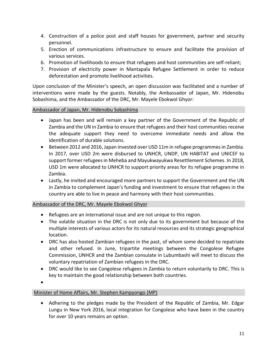- 4. Construction of a police post and staff houses for government, partner and security personnel.
- 5. Erection of communications infrastructure to ensure and facilitate the provision of various services.
- 6. Promotion of livelihoods to ensure that refugees and host communities are self-reliant;
- 7. Provision of electricity power in Mantapala Refugee Settlement in order to reduce deforestation and promote livelihood activities.

Upon conclusion of the Minister's speech, an open discussion was facilitated and a number of interventions were made by the guests. Notably, the Ambassador of Japan, Mr. Hidenobu Sobashima, and the Ambassador of the DRC, Mr. Mayele Ebokwol Ghyor:

Ambassador of Japan, Mr. Hidenobu Sobashima

- Japan has been and will remain a key partner of the Government of the Republic of Zambia and the UN in Zambia to ensure that refugees and their host communities receive the adequate support they need to overcome immediate needs and allow the identification of durable solutions.
- Between 2012 and 2016, Japan invested over USD 11m in refugee programmes in Zambia. In 2017, over USD 2m were disbursed to UNHCR, UNDP, UN HABITAT and UNICEF to support former refugees in Meheba and Mayukwayukwa Resettlement Schemes. In 2018, USD 1m were allocated to UNHCR to support priority areas for its refugee programme in Zambia.
- Lastly, he invited and encouraged more partners to support the Government and the UN in Zambia to complement Japan's funding and investment to ensure that refugees in the country are able to live in peace and harmony with their host communities.

Ambassador of the DRC, Mr. Mayele Ebokwol Ghyor

- Refugees are an international issue and are not unique to this region.
- The volatile situation in the DRC is not only due to its government but because of the multiple interests of various actors for its natural resources and its strategic geographical location.
- DRC has also hosted Zambian refugees in the past, of whom some decided to repatriate and other refused. In June, tripartite meetings between the Congolese Refugee Commission, UNHCR and the Zambian consulate in Lubumbashi will meet to discuss the voluntary repatriation of Zambian refugees in the DRC.
- DRC would like to see Congolese refugees in Zambia to return voluntarily to DRC. This is key to maintain the good relationship between both countries.

 $\bullet$ 

#### Minister of Home Affairs, Mr. Stephen Kampyongo (MP)

 Adhering to the pledges made by the President of the Republic of Zambia, Mr. Edgar Lungu in New York 2016, local integration for Congolese who have been in the country for over 10 years remains an option.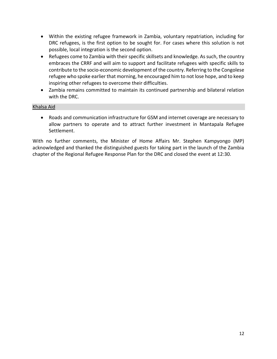- Within the existing refugee framework in Zambia, voluntary repatriation, including for DRC refugees, is the first option to be sought for. For cases where this solution is not possible, local integration is the second option.
- Refugees come to Zambia with their specific skillsets and knowledge. As such, the country embraces the CRRF and will aim to support and facilitate refugees with specific skills to contribute to the socio-economic development of the country. Referring to the Congolese refugee who spoke earlier that morning, he encouraged him to not lose hope, and to keep inspiring other refugees to overcome their difficulties.
- Zambia remains committed to maintain its continued partnership and bilateral relation with the DRC.

#### Khalsa Aid

 Roads and communication infrastructure for GSM and internet coverage are necessary to allow partners to operate and to attract further investment in Mantapala Refugee Settlement.

With no further comments, the Minister of Home Affairs Mr. Stephen Kampyongo (MP) acknowledged and thanked the distinguished guests for taking part in the launch of the Zambia chapter of the Regional Refugee Response Plan for the DRC and closed the event at 12:30.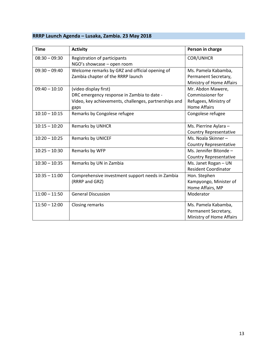## **RRRP Launch Agenda – Lusaka, Zambia. 23 May 2018**

| <b>Time</b>     | <b>Activity</b>                                       | Person in charge              |
|-----------------|-------------------------------------------------------|-------------------------------|
| $08:30 - 09:30$ | Registration of participants                          | <b>COR/UNHCR</b>              |
|                 | NGO's showcase - open room                            |                               |
| $09:30 - 09:40$ | Welcome remarks by GRZ and official opening of        | Ms. Pamela Kabamba,           |
|                 | Zambia chapter of the RRRP launch                     | Permanent Secretary,          |
|                 |                                                       | Ministry of Home Affairs      |
| $09:40 - 10:10$ | (video display first)                                 | Mr. Abdon Mawere,             |
|                 | DRC emergency response in Zambia to date -            | Commissioner for              |
|                 | Video, key achievements, challenges, partnerships and | Refugees, Ministry of         |
|                 | gaps                                                  | <b>Home Affairs</b>           |
| $10:10 - 10:15$ | Remarks by Congolese refugee                          | Congolese refugee             |
|                 |                                                       |                               |
| $10:15 - 10:20$ | Remarks by UNHCR                                      | Ms. Pierrine Aylara -         |
|                 |                                                       | <b>Country Representative</b> |
| $10:20 - 10:25$ | Remarks by UNICEF                                     | Ms. Noala Skinner-            |
|                 |                                                       | <b>Country Representative</b> |
| $10:25 - 10:30$ | Remarks by WFP                                        | Ms. Jennifer Bitonde -        |
|                 |                                                       | <b>Country Representative</b> |
| $10:30 - 10:35$ | Remarks by UN in Zambia                               | Ms. Janet Rogan - UN          |
|                 |                                                       | <b>Resident Coordinator</b>   |
| $10:35 - 11:00$ | Comprehensive investment support needs in Zambia      | Hon. Stephen                  |
|                 | (RRRP and GRZ)                                        | Kampyongo, Minister of        |
|                 |                                                       | Home Affairs, MP              |
| $11:00 - 11:50$ | <b>General Discussion</b>                             | Moderator                     |
| $11:50 - 12:00$ | <b>Closing remarks</b>                                | Ms. Pamela Kabamba,           |
|                 |                                                       | Permanent Secretary,          |
|                 |                                                       | Ministry of Home Affairs      |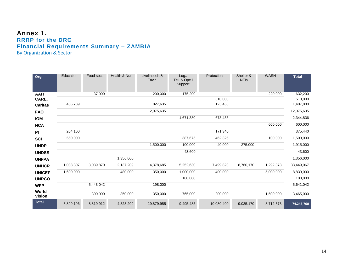## **Annex 1. RRRP for the DRC Financial Requirements Summary – ZAMBIA** By Organization & Sector

| Org.                   | Education | Food sec. | Health & Nut. | Livelihoods &<br>Envir. | Log.,<br>Tel. & Ope.I<br>Support | Protection | Shelter &<br><b>NFIs</b> | <b>WASH</b> | <b>Total</b> |
|------------------------|-----------|-----------|---------------|-------------------------|----------------------------------|------------|--------------------------|-------------|--------------|
| <b>AAH</b>             |           | 37,000    |               | 200,000                 | 175,200                          |            |                          | 220,000     | 632,200      |
| CARE.                  |           |           |               |                         |                                  | 510,000    |                          |             | 510,000      |
| <b>Caritas</b>         | 456,789   |           |               | 827,635                 |                                  | 123,456    |                          |             | 1,407,880    |
| <b>FAO</b>             |           |           |               | 12,075,635              |                                  |            |                          |             | 12,075,635   |
| <b>IOM</b>             |           |           |               |                         | 1,671,380                        | 673,456    |                          |             | 2,344,836    |
| <b>NCA</b>             |           |           |               |                         |                                  |            |                          | 600,000     | 600,000      |
| <b>PI</b>              | 204,100   |           |               |                         |                                  | 171,340    |                          |             | 375,440      |
| <b>SCI</b>             | 550,000   |           |               |                         | 387,675                          | 462,325    |                          | 100,000     | 1,500,000    |
| <b>UNDP</b>            |           |           |               | 1,500,000               | 100,000                          | 40,000     | 275,000                  |             | 1,915,000    |
| <b>UNDSS</b>           |           |           |               |                         | 43,600                           |            |                          |             | 43,600       |
| <b>UNFPA</b>           |           |           | 1,356,000     |                         |                                  |            |                          |             | 1,356,000    |
| <b>UNHCR</b>           | 1,088,307 | 3,039,870 | 2,137,209     | 4,378,685               | 5,252,630                        | 7,499,823  | 8,760,170                | 1,292,373   | 33,449,067   |
| <b>UNICEF</b>          | 1,600,000 |           | 480,000       | 350,000                 | 1,000,000                        | 400,000    |                          | 5,000,000   | 8,830,000    |
| <b>UNRCO</b>           |           |           |               |                         | 100,000                          |            |                          |             | 100,000      |
| <b>WFP</b>             |           | 5,443,042 |               | 198,000                 |                                  |            |                          |             | 5,641,042    |
| World<br><b>Vision</b> |           | 300,000   | 350,000       | 350,000                 | 765,000                          | 200,000    |                          | 1,500,000   | 3,465,000    |
| <b>Total</b>           | 3,899,196 | 8,819,912 | 4,323,209     | 19,879,955              | 9,495,485                        | 10,080,400 | 9,035,170                | 8,712,373   | 74,245,700   |